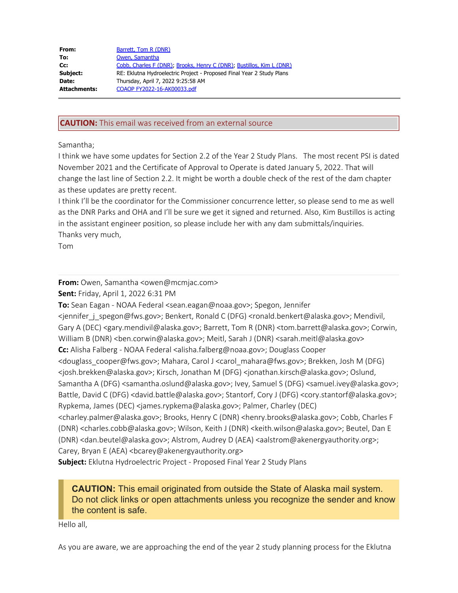| From:        | Barrett, Tom R (DNR)                                                  |
|--------------|-----------------------------------------------------------------------|
| To:          | Owen, Samantha                                                        |
| $Cc$ :       | Cobb, Charles F (DNR); Brooks, Henry C (DNR); Bustillos, Kim L (DNR)  |
| Subject:     | RE: Eklutna Hydroelectric Project - Proposed Final Year 2 Study Plans |
| Date:        | Thursday, April 7, 2022 9:25:58 AM                                    |
| Attachments: | COAOP FY2022-16-AK00033.pdf                                           |
|              |                                                                       |

## **CAUTION:** This email was received from an external source

## Samantha;

I think we have some updates for Section 2.2 of the Year 2 Study Plans. The most recent PSI is dated November 2021 and the Certificate of Approval to Operate is dated January 5, 2022. That will change the last line of Section 2.2. It might be worth a double check of the rest of the dam chapter as these updates are pretty recent.

I think I'll be the coordinator for the Commissioner concurrence letter, so please send to me as well as the DNR Parks and OHA and I'll be sure we get it signed and returned. Also, Kim Bustillos is acting in the assistant engineer position, so please include her with any dam submittals/inquiries. Thanks very much,

Tom

**From:** Owen, Samantha <owen@mcmjac.com>

**Sent:** Friday, April 1, 2022 6:31 PM

**To:** Sean Eagan - NOAA Federal <sean.eagan@noaa.gov>; Spegon, Jennifer <jennifer\_j\_spegon@fws.gov>; Benkert, Ronald C (DFG) <ronald.benkert@alaska.gov>; Mendivil, Gary A (DEC) <gary.mendivil@alaska.gov>; Barrett, Tom R (DNR) <tom.barrett@alaska.gov>; Corwin, William B (DNR) <ben.corwin@alaska.gov>; Meitl, Sarah J (DNR) <sarah.meitl@alaska.gov> **Cc:** Alisha Falberg - NOAA Federal <alisha.falberg@noaa.gov>; Douglass Cooper <douglass\_cooper@fws.gov>; Mahara, Carol J <carol\_mahara@fws.gov>; Brekken, Josh M (DFG) <josh.brekken@alaska.gov>; Kirsch, Jonathan M (DFG) <jonathan.kirsch@alaska.gov>; Oslund, Samantha A (DFG) <samantha.oslund@alaska.gov>; Ivey, Samuel S (DFG) <samuel.ivey@alaska.gov>; Battle, David C (DFG) <david.battle@alaska.gov>; Stantorf, Cory J (DFG) <cory.stantorf@alaska.gov>; Rypkema, James (DEC) <james.rypkema@alaska.gov>; Palmer, Charley (DEC) <charley.palmer@alaska.gov>; Brooks, Henry C (DNR) <henry.brooks@alaska.gov>; Cobb, Charles F (DNR) <charles.cobb@alaska.gov>; Wilson, Keith J (DNR) <keith.wilson@alaska.gov>; Beutel, Dan E (DNR) <dan.beutel@alaska.gov>; Alstrom, Audrey D (AEA) <aalstrom@akenergyauthority.org>; Carey, Bryan E (AEA) <br/>bcarey@akenergyauthority.org>

**Subject:** Eklutna Hydroelectric Project - Proposed Final Year 2 Study Plans

**CAUTION:** This email originated from outside the State of Alaska mail system. Do not click links or open attachments unless you recognize the sender and know the content is safe.

Hello all,

As you are aware, we are approaching the end of the year 2 study planning process for the Eklutna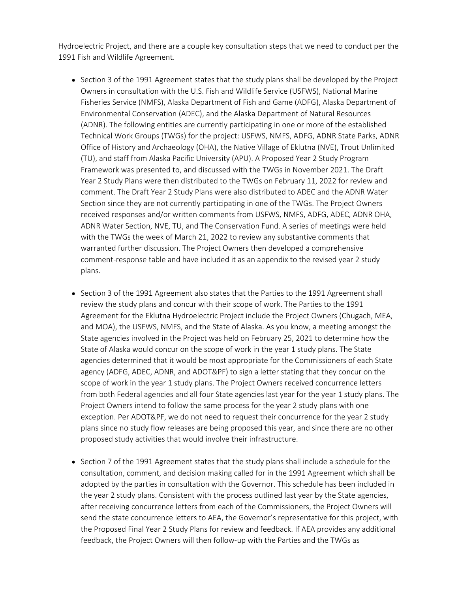Hydroelectric Project, and there are a couple key consultation steps that we need to conduct per the 1991 Fish and Wildlife Agreement.

- $\bullet$  Section 3 of the 1991 Agreement states that the study plans shall be developed by the Project Owners in consultation with the U.S. Fish and Wildlife Service (USFWS), National Marine Fisheries Service (NMFS), Alaska Department of Fish and Game (ADFG), Alaska Department of Environmental Conservation (ADEC), and the Alaska Department of Natural Resources (ADNR). The following entities are currently participating in one or more of the established Technical Work Groups (TWGs) for the project: USFWS, NMFS, ADFG, ADNR State Parks, ADNR Office of History and Archaeology (OHA), the Native Village of Eklutna (NVE), Trout Unlimited (TU), and staff from Alaska Pacific University (APU). A Proposed Year 2 Study Program Framework was presented to, and discussed with the TWGs in November 2021. The Draft Year 2 Study Plans were then distributed to the TWGs on February 11, 2022 for review and comment. The Draft Year 2 Study Plans were also distributed to ADEC and the ADNR Water Section since they are not currently participating in one of the TWGs. The Project Owners received responses and/or written comments from USFWS, NMFS, ADFG, ADEC, ADNR OHA, ADNR Water Section, NVE, TU, and The Conservation Fund. A series of meetings were held with the TWGs the week of March 21, 2022 to review any substantive comments that warranted further discussion. The Project Owners then developed a comprehensive comment-response table and have included it as an appendix to the revised year 2 study plans.
- Section 3 of the 1991 Agreement also states that the Parties to the 1991 Agreement shall review the study plans and concur with their scope of work. The Parties to the 1991 Agreement for the Eklutna Hydroelectric Project include the Project Owners (Chugach, MEA, and MOA), the USFWS, NMFS, and the State of Alaska. As you know, a meeting amongst the State agencies involved in the Project was held on February 25, 2021 to determine how the State of Alaska would concur on the scope of work in the year 1 study plans. The State agencies determined that it would be most appropriate for the Commissioners of each State agency (ADFG, ADEC, ADNR, and ADOT&PF) to sign a letter stating that they concur on the scope of work in the year 1 study plans. The Project Owners received concurrence letters from both Federal agencies and all four State agencies last year for the year 1 study plans. The Project Owners intend to follow the same process for the year 2 study plans with one exception. Per ADOT&PF, we do not need to request their concurrence for the year 2 study plans since no study flow releases are being proposed this year, and since there are no other proposed study activities that would involve their infrastructure.
- $\bullet$  Section 7 of the 1991 Agreement states that the study plans shall include a schedule for the consultation, comment, and decision making called for in the 1991 Agreement which shall be adopted by the parties in consultation with the Governor. This schedule has been included in the year 2 study plans. Consistent with the process outlined last year by the State agencies, after receiving concurrence letters from each of the Commissioners, the Project Owners will send the state concurrence letters to AEA, the Governor's representative for this project, with the Proposed Final Year 2 Study Plans for review and feedback. If AEA provides any additional feedback, the Project Owners will then follow-up with the Parties and the TWGs as